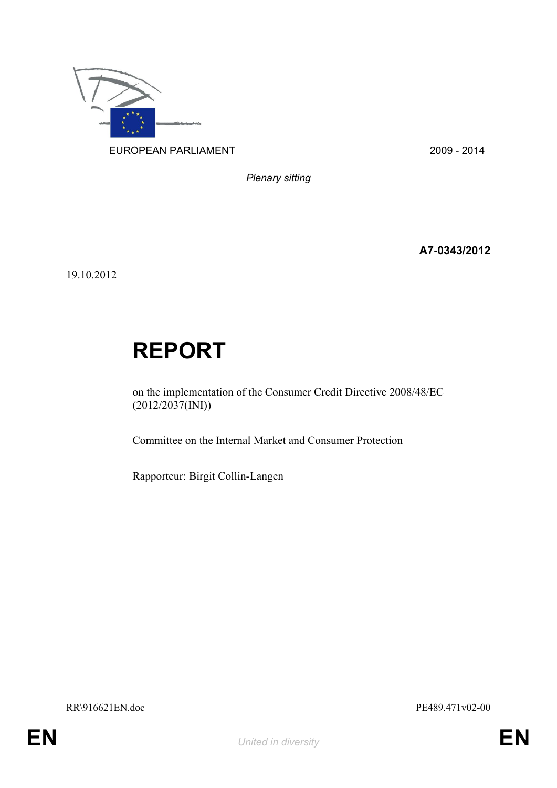

*Plenary sitting*

**A7-0343/2012**

19.10.2012

# **REPORT**

on the implementation of the Consumer Credit Directive 2008/48/EC  $(2012/2037(NI))$ 

Committee on the Internal Market and Consumer Protection

Rapporteur: Birgit Collin-Langen

RR\916621EN.doc PE489.471v02-00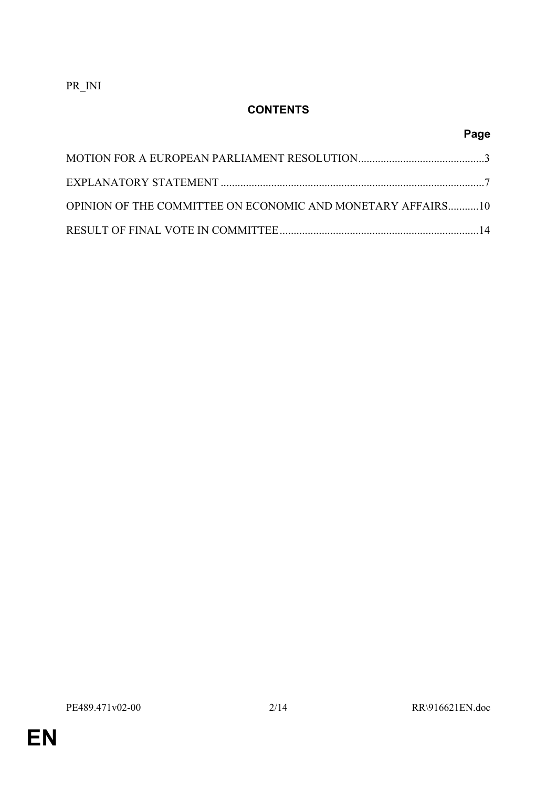PR\_INI

# **CONTENTS**

# **Page**

| OPINION OF THE COMMITTEE ON ECONOMIC AND MONETARY AFFAIRS10 |  |
|-------------------------------------------------------------|--|
|                                                             |  |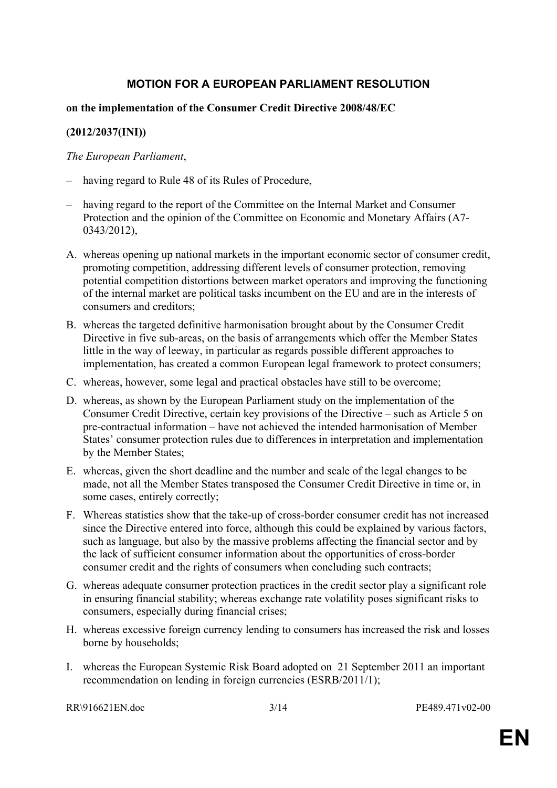# <span id="page-2-0"></span>**MOTION FOR A EUROPEAN PARLIAMENT RESOLUTION**

#### **on the implementation of the Consumer Credit Directive 2008/48/EC**

#### **(2012/2037(INI))**

#### *The European Parliament*,

- having regard to Rule 48 of its Rules of Procedure,
- having regard to the report of the Committee on the Internal Market and Consumer Protection and the opinion of the Committee on Economic and Monetary Affairs (A7- 0343/2012),
- A. whereas opening up national markets in the important economic sector of consumer credit, promoting competition, addressing different levels of consumer protection, removing potential competition distortions between market operators and improving the functioning of the internal market are political tasks incumbent on the EU and are in the interests of consumers and creditors;
- B. whereas the targeted definitive harmonisation brought about by the Consumer Credit Directive in five sub-areas, on the basis of arrangements which offer the Member States little in the way of leeway, in particular as regards possible different approaches to implementation, has created a common European legal framework to protect consumers;
- C. whereas, however, some legal and practical obstacles have still to be overcome;
- D. whereas, as shown by the European Parliament study on the implementation of the Consumer Credit Directive, certain key provisions of the Directive – such as Article 5 on pre-contractual information – have not achieved the intended harmonisation of Member States' consumer protection rules due to differences in interpretation and implementation by the Member States;
- E. whereas, given the short deadline and the number and scale of the legal changes to be made, not all the Member States transposed the Consumer Credit Directive in time or, in some cases, entirely correctly;
- F. Whereas statistics show that the take-up of cross-border consumer credit has not increased since the Directive entered into force, although this could be explained by various factors, such as language, but also by the massive problems affecting the financial sector and by the lack of sufficient consumer information about the opportunities of cross-border consumer credit and the rights of consumers when concluding such contracts;
- G. whereas adequate consumer protection practices in the credit sector play a significant role in ensuring financial stability; whereas exchange rate volatility poses significant risks to consumers, especially during financial crises;
- H. whereas excessive foreign currency lending to consumers has increased the risk and losses borne by households;
- I. whereas the European Systemic Risk Board adopted on 21 September 2011 an important recommendation on lending in foreign currencies (ESRB/2011/1);

RR\916621EN.doc 3/14 PE489.471v02-00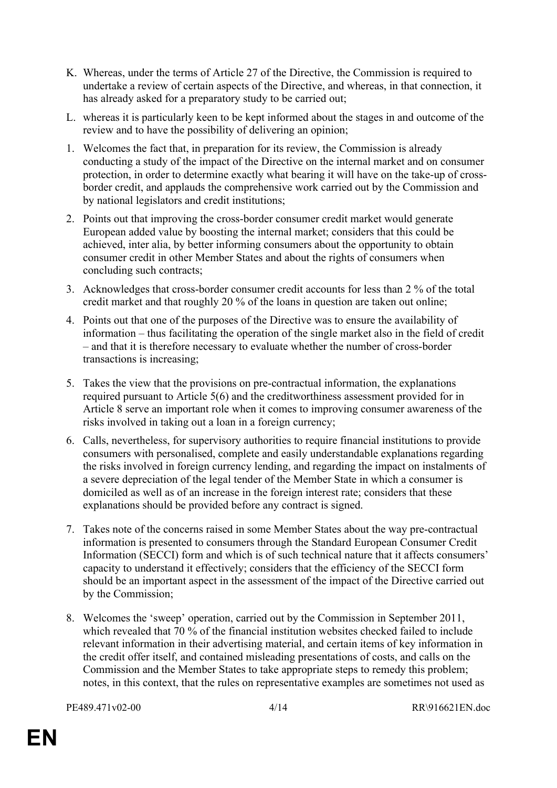- K. Whereas, under the terms of Article 27 of the Directive, the Commission is required to undertake a review of certain aspects of the Directive, and whereas, in that connection, it has already asked for a preparatory study to be carried out;
- L. whereas it is particularly keen to be kept informed about the stages in and outcome of the review and to have the possibility of delivering an opinion;
- 1. Welcomes the fact that, in preparation for its review, the Commission is already conducting a study of the impact of the Directive on the internal market and on consumer protection, in order to determine exactly what bearing it will have on the take-up of crossborder credit, and applauds the comprehensive work carried out by the Commission and by national legislators and credit institutions;
- 2. Points out that improving the cross-border consumer credit market would generate European added value by boosting the internal market; considers that this could be achieved, inter alia, by better informing consumers about the opportunity to obtain consumer credit in other Member States and about the rights of consumers when concluding such contracts;
- 3. Acknowledges that cross-border consumer credit accounts for less than 2 % of the total credit market and that roughly 20 % of the loans in question are taken out online;
- 4. Points out that one of the purposes of the Directive was to ensure the availability of information – thus facilitating the operation of the single market also in the field of credit – and that it is therefore necessary to evaluate whether the number of cross-border transactions is increasing;
- 5. Takes the view that the provisions on pre-contractual information, the explanations required pursuant to Article 5(6) and the creditworthiness assessment provided for in Article 8 serve an important role when it comes to improving consumer awareness of the risks involved in taking out a loan in a foreign currency;
- 6. Calls, nevertheless, for supervisory authorities to require financial institutions to provide consumers with personalised, complete and easily understandable explanations regarding the risks involved in foreign currency lending, and regarding the impact on instalments of a severe depreciation of the legal tender of the Member State in which a consumer is domiciled as well as of an increase in the foreign interest rate; considers that these explanations should be provided before any contract is signed.
- 7. Takes note of the concerns raised in some Member States about the way pre-contractual information is presented to consumers through the Standard European Consumer Credit Information (SECCI) form and which is of such technical nature that it affects consumers' capacity to understand it effectively; considers that the efficiency of the SECCI form should be an important aspect in the assessment of the impact of the Directive carried out by the Commission;
- 8. Welcomes the 'sweep' operation, carried out by the Commission in September 2011, which revealed that  $70\%$  of the financial institution websites checked failed to include relevant information in their advertising material, and certain items of key information in the credit offer itself, and contained misleading presentations of costs, and calls on the Commission and the Member States to take appropriate steps to remedy this problem; notes, in this context, that the rules on representative examples are sometimes not used as

PE489.471v02-00 4/14 RR\916621EN.doc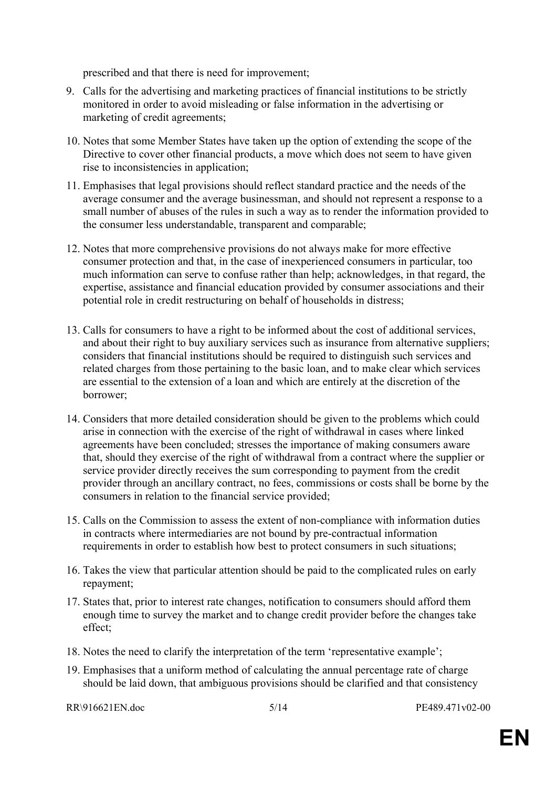prescribed and that there is need for improvement;

- 9. Calls for the advertising and marketing practices of financial institutions to be strictly monitored in order to avoid misleading or false information in the advertising or marketing of credit agreements;
- 10. Notes that some Member States have taken up the option of extending the scope of the Directive to cover other financial products, a move which does not seem to have given rise to inconsistencies in application;
- 11. Emphasises that legal provisions should reflect standard practice and the needs of the average consumer and the average businessman, and should not represent a response to a small number of abuses of the rules in such a way as to render the information provided to the consumer less understandable, transparent and comparable;
- 12. Notes that more comprehensive provisions do not always make for more effective consumer protection and that, in the case of inexperienced consumers in particular, too much information can serve to confuse rather than help; acknowledges, in that regard, the expertise, assistance and financial education provided by consumer associations and their potential role in credit restructuring on behalf of households in distress;
- 13. Calls for consumers to have a right to be informed about the cost of additional services, and about their right to buy auxiliary services such as insurance from alternative suppliers; considers that financial institutions should be required to distinguish such services and related charges from those pertaining to the basic loan, and to make clear which services are essential to the extension of a loan and which are entirely at the discretion of the borrower;
- 14. Considers that more detailed consideration should be given to the problems which could arise in connection with the exercise of the right of withdrawal in cases where linked agreements have been concluded; stresses the importance of making consumers aware that, should they exercise of the right of withdrawal from a contract where the supplier or service provider directly receives the sum corresponding to payment from the credit provider through an ancillary contract, no fees, commissions or costs shall be borne by the consumers in relation to the financial service provided;
- 15. Calls on the Commission to assess the extent of non-compliance with information duties in contracts where intermediaries are not bound by pre-contractual information requirements in order to establish how best to protect consumers in such situations;
- 16. Takes the view that particular attention should be paid to the complicated rules on early repayment;
- 17. States that, prior to interest rate changes, notification to consumers should afford them enough time to survey the market and to change credit provider before the changes take effect;
- 18. Notes the need to clarify the interpretation of the term 'representative example';
- 19. Emphasises that a uniform method of calculating the annual percentage rate of charge should be laid down, that ambiguous provisions should be clarified and that consistency

 $RR\916621EN$  doc  $5/14$  PE489.471v02-00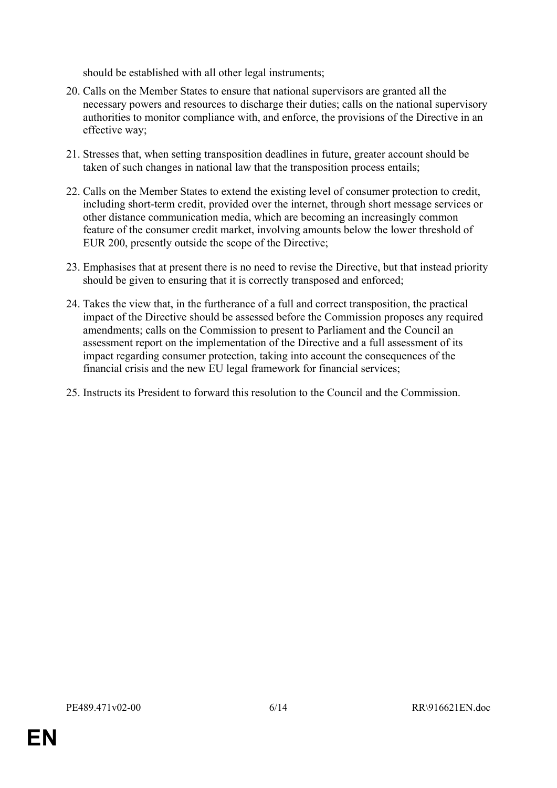should be established with all other legal instruments;

- 20. Calls on the Member States to ensure that national supervisors are granted all the necessary powers and resources to discharge their duties; calls on the national supervisory authorities to monitor compliance with, and enforce, the provisions of the Directive in an effective way;
- 21. Stresses that, when setting transposition deadlines in future, greater account should be taken of such changes in national law that the transposition process entails;
- 22. Calls on the Member States to extend the existing level of consumer protection to credit, including short-term credit, provided over the internet, through short message services or other distance communication media, which are becoming an increasingly common feature of the consumer credit market, involving amounts below the lower threshold of EUR 200, presently outside the scope of the Directive;
- 23. Emphasises that at present there is no need to revise the Directive, but that instead priority should be given to ensuring that it is correctly transposed and enforced;
- 24. Takes the view that, in the furtherance of a full and correct transposition, the practical impact of the Directive should be assessed before the Commission proposes any required amendments; calls on the Commission to present to Parliament and the Council an assessment report on the implementation of the Directive and a full assessment of its impact regarding consumer protection, taking into account the consequences of the financial crisis and the new EU legal framework for financial services;
- 25. Instructs its President to forward this resolution to the Council and the Commission.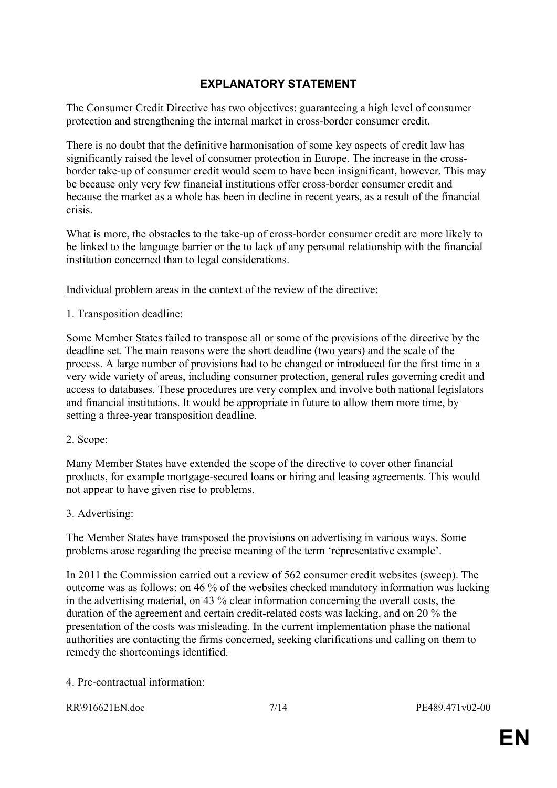# <span id="page-6-0"></span>**EXPLANATORY STATEMENT**

The Consumer Credit Directive has two objectives: guaranteeing a high level of consumer protection and strengthening the internal market in cross-border consumer credit.

There is no doubt that the definitive harmonisation of some key aspects of credit law has significantly raised the level of consumer protection in Europe. The increase in the crossborder take-up of consumer credit would seem to have been insignificant, however. This may be because only very few financial institutions offer cross-border consumer credit and because the market as a whole has been in decline in recent years, as a result of the financial crisis.

What is more, the obstacles to the take-up of cross-border consumer credit are more likely to be linked to the language barrier or the to lack of any personal relationship with the financial institution concerned than to legal considerations.

Individual problem areas in the context of the review of the directive:

1. Transposition deadline:

Some Member States failed to transpose all or some of the provisions of the directive by the deadline set. The main reasons were the short deadline (two years) and the scale of the process. A large number of provisions had to be changed or introduced for the first time in a very wide variety of areas, including consumer protection, general rules governing credit and access to databases. These procedures are very complex and involve both national legislators and financial institutions. It would be appropriate in future to allow them more time, by setting a three-year transposition deadline.

2. Scope:

Many Member States have extended the scope of the directive to cover other financial products, for example mortgage-secured loans or hiring and leasing agreements. This would not appear to have given rise to problems.

3. Advertising:

The Member States have transposed the provisions on advertising in various ways. Some problems arose regarding the precise meaning of the term 'representative example'.

In 2011 the Commission carried out a review of 562 consumer credit websites (sweep). The outcome was as follows: on 46 % of the websites checked mandatory information was lacking in the advertising material, on 43 % clear information concerning the overall costs, the duration of the agreement and certain credit-related costs was lacking, and on 20 % the presentation of the costs was misleading. In the current implementation phase the national authorities are contacting the firms concerned, seeking clarifications and calling on them to remedy the shortcomings identified.

4. Pre-contractual information: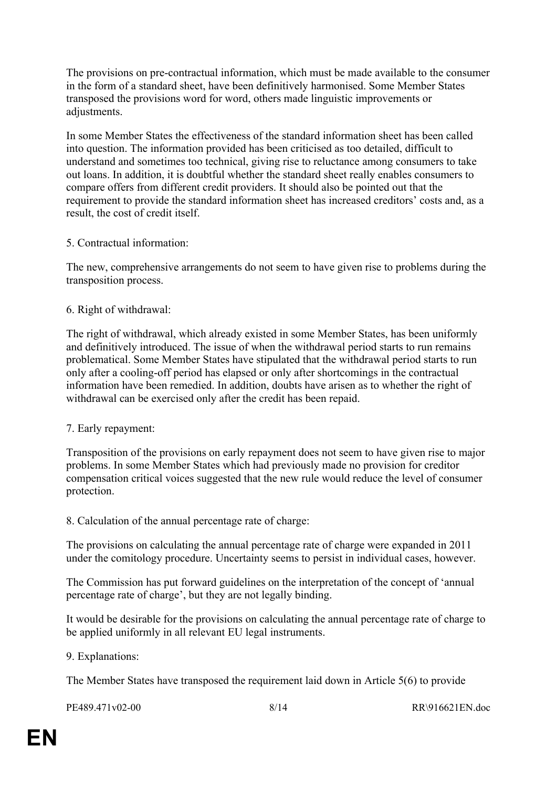The provisions on pre-contractual information, which must be made available to the consumer in the form of a standard sheet, have been definitively harmonised. Some Member States transposed the provisions word for word, others made linguistic improvements or adjustments.

In some Member States the effectiveness of the standard information sheet has been called into question. The information provided has been criticised as too detailed, difficult to understand and sometimes too technical, giving rise to reluctance among consumers to take out loans. In addition, it is doubtful whether the standard sheet really enables consumers to compare offers from different credit providers. It should also be pointed out that the requirement to provide the standard information sheet has increased creditors' costs and, as a result, the cost of credit itself.

#### 5. Contractual information:

The new, comprehensive arrangements do not seem to have given rise to problems during the transposition process.

#### 6. Right of withdrawal:

The right of withdrawal, which already existed in some Member States, has been uniformly and definitively introduced. The issue of when the withdrawal period starts to run remains problematical. Some Member States have stipulated that the withdrawal period starts to run only after a cooling-off period has elapsed or only after shortcomings in the contractual information have been remedied. In addition, doubts have arisen as to whether the right of withdrawal can be exercised only after the credit has been repaid.

#### 7. Early repayment:

Transposition of the provisions on early repayment does not seem to have given rise to major problems. In some Member States which had previously made no provision for creditor compensation critical voices suggested that the new rule would reduce the level of consumer protection.

8. Calculation of the annual percentage rate of charge:

The provisions on calculating the annual percentage rate of charge were expanded in 2011 under the comitology procedure. Uncertainty seems to persist in individual cases, however.

The Commission has put forward guidelines on the interpretation of the concept of 'annual percentage rate of charge', but they are not legally binding.

It would be desirable for the provisions on calculating the annual percentage rate of charge to be applied uniformly in all relevant EU legal instruments.

9. Explanations:

The Member States have transposed the requirement laid down in Article 5(6) to provide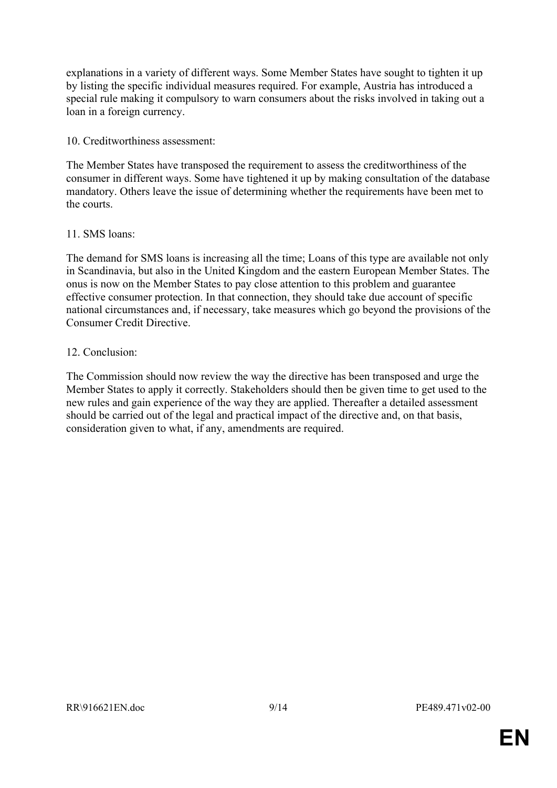explanations in a variety of different ways. Some Member States have sought to tighten it up by listing the specific individual measures required. For example, Austria has introduced a special rule making it compulsory to warn consumers about the risks involved in taking out a loan in a foreign currency.

10. Creditworthiness assessment:

The Member States have transposed the requirement to assess the creditworthiness of the consumer in different ways. Some have tightened it up by making consultation of the database mandatory. Others leave the issue of determining whether the requirements have been met to the courts.

#### 11. SMS loans:

The demand for SMS loans is increasing all the time; Loans of this type are available not only in Scandinavia, but also in the United Kingdom and the eastern European Member States. The onus is now on the Member States to pay close attention to this problem and guarantee effective consumer protection. In that connection, they should take due account of specific national circumstances and, if necessary, take measures which go beyond the provisions of the Consumer Credit Directive.

#### 12. Conclusion:

The Commission should now review the way the directive has been transposed and urge the Member States to apply it correctly. Stakeholders should then be given time to get used to the new rules and gain experience of the way they are applied. Thereafter a detailed assessment should be carried out of the legal and practical impact of the directive and, on that basis, consideration given to what, if any, amendments are required.

**EN**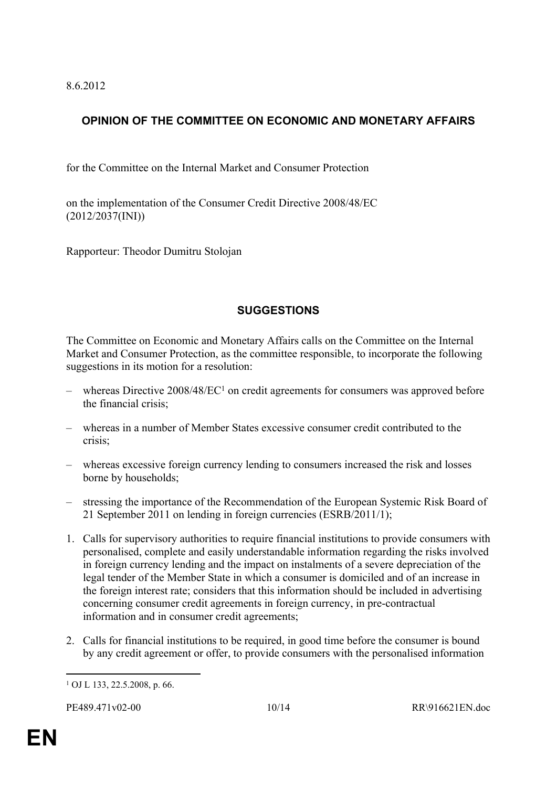8.6.2012

# <span id="page-9-0"></span>**OPINION OF THE COMMITTEE ON ECONOMIC AND MONETARY AFFAIRS**

for the Committee on the Internal Market and Consumer Protection

on the implementation of the Consumer Credit Directive 2008/48/EC (2012/2037(INI))

Rapporteur: Theodor Dumitru Stolojan

# **SUGGESTIONS**

The Committee on Economic and Monetary Affairs calls on the Committee on the Internal Market and Consumer Protection, as the committee responsible, to incorporate the following suggestions in its motion for a resolution:

- $-$  whereas Directive 2008/48/EC<sup>1</sup> on credit agreements for consumers was approved before the financial crisis;
- whereas in a number of Member States excessive consumer credit contributed to the crisis;
- whereas excessive foreign currency lending to consumers increased the risk and losses borne by households;
- stressing the importance of the Recommendation of the European Systemic Risk Board of 21 September 2011 on lending in foreign currencies (ESRB/2011/1);
- 1. Calls for supervisory authorities to require financial institutions to provide consumers with personalised, complete and easily understandable information regarding the risks involved in foreign currency lending and the impact on instalments of a severe depreciation of the legal tender of the Member State in which a consumer is domiciled and of an increase in the foreign interest rate; considers that this information should be included in advertising concerning consumer credit agreements in foreign currency, in pre-contractual information and in consumer credit agreements;
- 2. Calls for financial institutions to be required, in good time before the consumer is bound by any credit agreement or offer, to provide consumers with the personalised information

<sup>1</sup> OJ L 133, 22.5.2008, p. 66.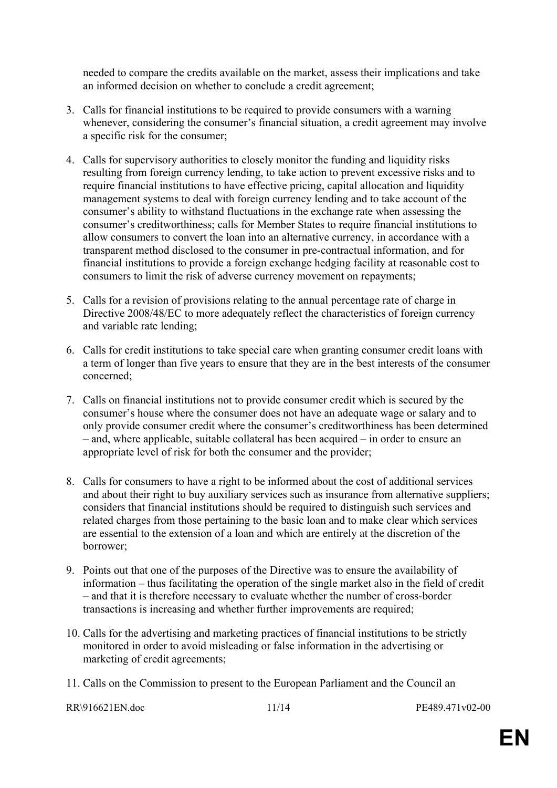needed to compare the credits available on the market, assess their implications and take an informed decision on whether to conclude a credit agreement;

- 3. Calls for financial institutions to be required to provide consumers with a warning whenever, considering the consumer's financial situation, a credit agreement may involve a specific risk for the consumer;
- 4. Calls for supervisory authorities to closely monitor the funding and liquidity risks resulting from foreign currency lending, to take action to prevent excessive risks and to require financial institutions to have effective pricing, capital allocation and liquidity management systems to deal with foreign currency lending and to take account of the consumer's ability to withstand fluctuations in the exchange rate when assessing the consumer's creditworthiness; calls for Member States to require financial institutions to allow consumers to convert the loan into an alternative currency, in accordance with a transparent method disclosed to the consumer in pre-contractual information, and for financial institutions to provide a foreign exchange hedging facility at reasonable cost to consumers to limit the risk of adverse currency movement on repayments;
- 5. Calls for a revision of provisions relating to the annual percentage rate of charge in Directive 2008/48/EC to more adequately reflect the characteristics of foreign currency and variable rate lending;
- 6. Calls for credit institutions to take special care when granting consumer credit loans with a term of longer than five years to ensure that they are in the best interests of the consumer concerned;
- 7. Calls on financial institutions not to provide consumer credit which is secured by the consumer's house where the consumer does not have an adequate wage or salary and to only provide consumer credit where the consumer's creditworthiness has been determined – and, where applicable, suitable collateral has been acquired – in order to ensure an appropriate level of risk for both the consumer and the provider;
- 8. Calls for consumers to have a right to be informed about the cost of additional services and about their right to buy auxiliary services such as insurance from alternative suppliers; considers that financial institutions should be required to distinguish such services and related charges from those pertaining to the basic loan and to make clear which services are essential to the extension of a loan and which are entirely at the discretion of the borrower;
- 9. Points out that one of the purposes of the Directive was to ensure the availability of information – thus facilitating the operation of the single market also in the field of credit – and that it is therefore necessary to evaluate whether the number of cross-border transactions is increasing and whether further improvements are required;
- 10. Calls for the advertising and marketing practices of financial institutions to be strictly monitored in order to avoid misleading or false information in the advertising or marketing of credit agreements;
- 11. Calls on the Commission to present to the European Parliament and the Council an

RR\916621EN.doc 11/14 PE489.471v02-00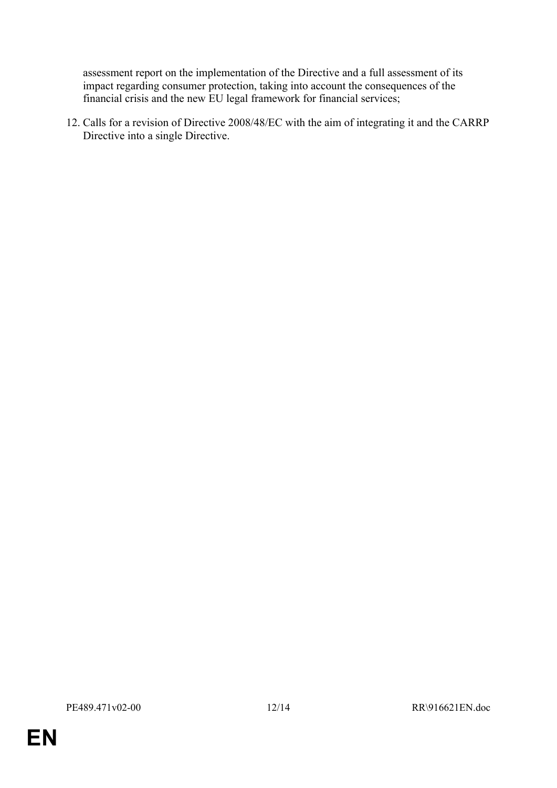assessment report on the implementation of the Directive and a full assessment of its impact regarding consumer protection, taking into account the consequences of the financial crisis and the new EU legal framework for financial services;

12. Calls for a revision of Directive 2008/48/EC with the aim of integrating it and the CARRP Directive into a single Directive.

**EN**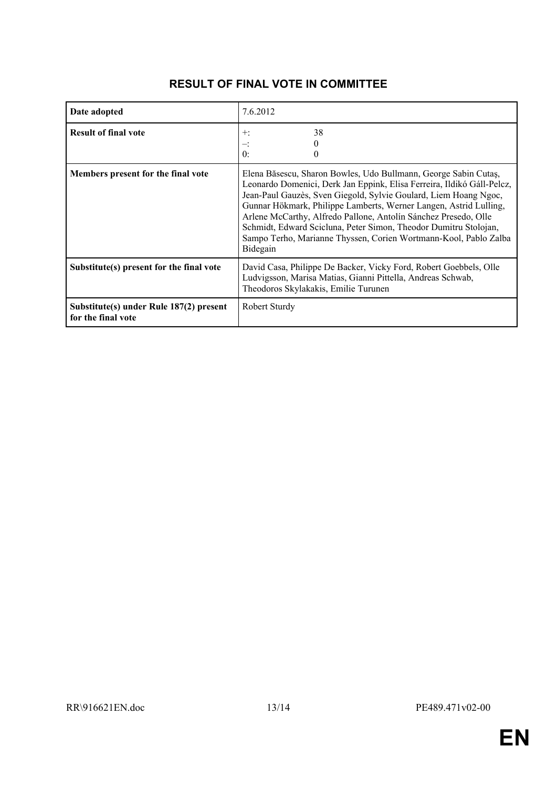| Date adopted                                                  | 7.6.2012                                                                                                                                                                                                                                                                                                                                                                                                                                                                                                  |
|---------------------------------------------------------------|-----------------------------------------------------------------------------------------------------------------------------------------------------------------------------------------------------------------------------------------------------------------------------------------------------------------------------------------------------------------------------------------------------------------------------------------------------------------------------------------------------------|
| <b>Result of final vote</b>                                   | 38<br>$+$ :<br>0:                                                                                                                                                                                                                                                                                                                                                                                                                                                                                         |
| Members present for the final vote                            | Elena Băsescu, Sharon Bowles, Udo Bullmann, George Sabin Cutaș,<br>Leonardo Domenici, Derk Jan Eppink, Elisa Ferreira, Ildikó Gáll-Pelcz,<br>Jean-Paul Gauzès, Sven Giegold, Sylvie Goulard, Liem Hoang Ngoc,<br>Gunnar Hökmark, Philippe Lamberts, Werner Langen, Astrid Lulling,<br>Arlene McCarthy, Alfredo Pallone, Antolín Sánchez Presedo, Olle<br>Schmidt, Edward Scicluna, Peter Simon, Theodor Dumitru Stolojan,<br>Sampo Terho, Marianne Thyssen, Corien Wortmann-Kool, Pablo Zalba<br>Bidegain |
| Substitute(s) present for the final vote                      | David Casa, Philippe De Backer, Vicky Ford, Robert Goebbels, Olle<br>Ludvigsson, Marisa Matias, Gianni Pittella, Andreas Schwab,<br>Theodoros Skylakakis, Emilie Turunen                                                                                                                                                                                                                                                                                                                                  |
| Substitute(s) under Rule 187(2) present<br>for the final vote | Robert Sturdy                                                                                                                                                                                                                                                                                                                                                                                                                                                                                             |

### **RESULT OF FINAL VOTE IN COMMITTEE**